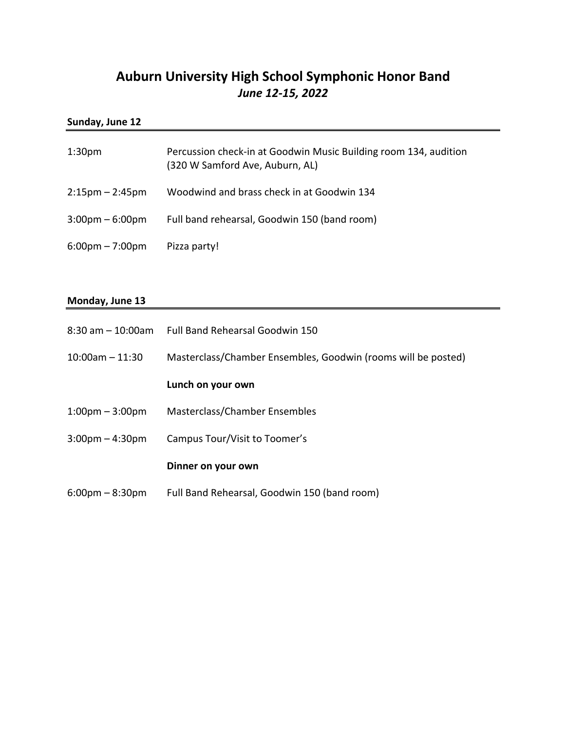# **Auburn University High School Symphonic Honor Band** *June 12-15, 2022*

## **Sunday, June 12**

| 1:30 <sub>pm</sub>                | Percussion check-in at Goodwin Music Building room 134, audition<br>(320 W Samford Ave, Auburn, AL) |
|-----------------------------------|-----------------------------------------------------------------------------------------------------|
| $2:15 \text{pm} - 2:45 \text{pm}$ | Woodwind and brass check in at Goodwin 134                                                          |
| $3:00 \text{pm} - 6:00 \text{pm}$ | Full band rehearsal, Goodwin 150 (band room)                                                        |
| $6:00 \text{pm} - 7:00 \text{pm}$ | Pizza party!                                                                                        |

## **Monday, June 13**

|                                   | 8:30 am - 10:00am Full Band Rehearsal Goodwin 150             |
|-----------------------------------|---------------------------------------------------------------|
| $10:00$ am - 11:30                | Masterclass/Chamber Ensembles, Goodwin (rooms will be posted) |
|                                   | Lunch on your own                                             |
| $1:00 \text{pm} - 3:00 \text{pm}$ | Masterclass/Chamber Ensembles                                 |
| $3:00 \text{pm} - 4:30 \text{pm}$ | Campus Tour/Visit to Toomer's                                 |
|                                   | Dinner on your own                                            |
| $6:00 \text{pm} - 8:30 \text{pm}$ | Full Band Rehearsal, Goodwin 150 (band room)                  |